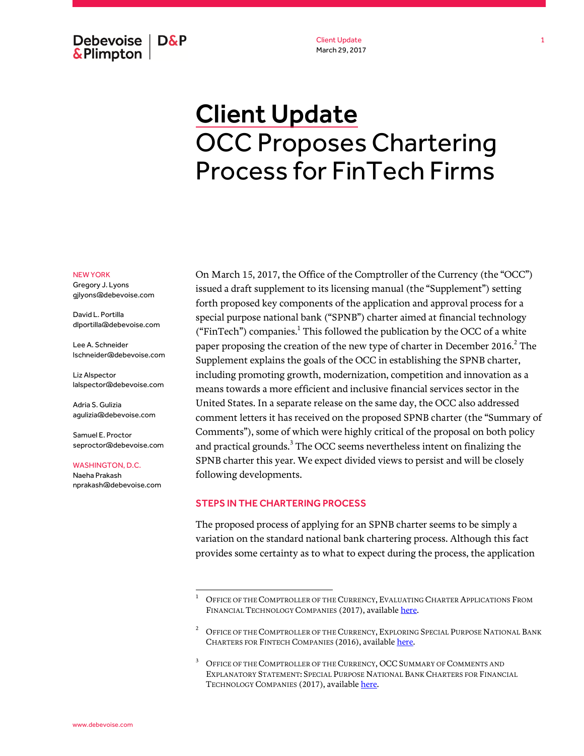Debevoise  $\overline{ }$  D&P **&Plimpton** 

Client Update March 29, 2017

# Client Update OCC Proposes Chartering Process for FinTech Firms

#### NEW YORK

Gregory J. Lyons gjlyons@debevoise.com

David L. Portilla dlportilla@debevoise.com

Lee A. Schneider lschneider@debevoise.com

Liz Alspector lalspector@debevoise.com

Adria S. Gulizia agulizia@debevoise.com

Samuel E. Proctor seproctor@debevoise.com

#### WASHINGTON, D.C.

Naeha Prakash nprakash@debevoise.com On March 15, 2017, the Office of the Comptroller of the Currency (the "OCC") issued a draft supplement to its licensing manual (the "Supplement") setting forth proposed key components of the application and approval process for a special purpose national bank ("SPNB") charter aimed at financial technology ("FinTech") companies.<sup>1</sup> This followed the publication by the OCC of a white paper proposing the creation of the new type of charter in December 2016. $^2$  The Supplement explains the goals of the OCC in establishing the SPNB charter, including promoting growth, modernization, competition and innovation as a means towards a more efficient and inclusive financial services sector in the United States. In a separate release on the same day, the OCC also addressed comment letters it has received on the proposed SPNB charter (the "Summary of Comments"), some of which were highly critical of the proposal on both policy and practical grounds. $^3$  The OCC seems nevertheless intent on finalizing the SPNB charter this year. We expect divided views to persist and will be closely following developments.

### STEPS IN THE CHARTERING PROCESS

l

The proposed process of applying for an SPNB charter seems to be simply a variation on the standard national bank chartering process. Although this fact provides some certainty as to what to expect during the process, the application

OFFICE OF THE COMPTROLLER OF THE CURRENCY, EVALUATING CHARTER APPLICATIONS FROM FINANCIAL TECHNOLOGY COMPANIES (2017), availabl[e here.](https://www.occ.gov/publications/publications-by-type/licensing-manuals/file-pub-lm-fintech-licensing-manual-supplement.pdf)

<sup>2</sup> OFFICE OF THE COMPTROLLER OF THE CURRENCY, EXPLORING SPECIAL PURPOSE NATIONAL BANK CHARTERS FOR FINTECH COMPANIES (2016), availabl[e here.](https://www.occ.gov/topics/bank-operations/innovation/comments/special-purpose-national-bank-charters-for-fintech.pdf)

<sup>&</sup>lt;sup>3</sup> OFFICE OF THE COMPTROLLER OF THE CURRENCY, OCC SUMMARY OF COMMENTS AND EXPLANATORY STATEMENT: SPECIAL PURPOSE NATIONAL BANK CHARTERS FOR FINANCIAL TECHNOLOGY COMPANIES (2017), availabl[e here.](https://www.occ.treas.gov/topics/bank-operations/innovation/summary-explanatory-statement-fintech-charters.pdf)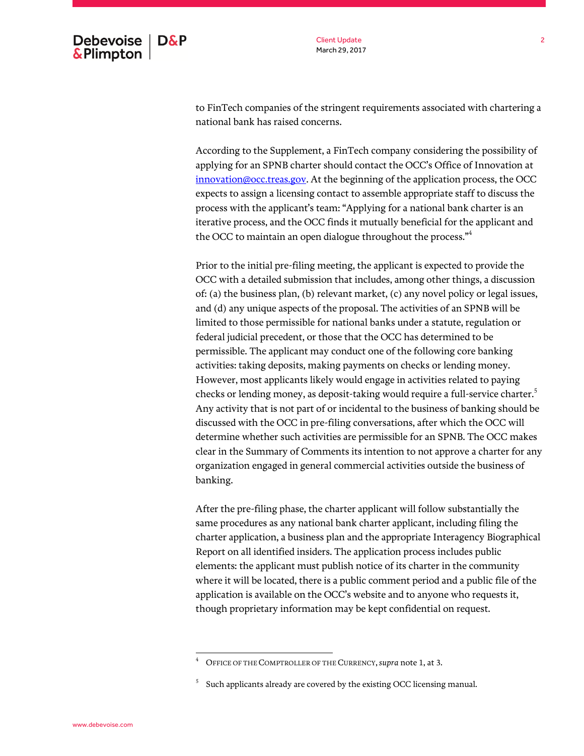Client Update March 29, 2017

to FinTech companies of the stringent requirements associated with chartering a national bank has raised concerns.

According to the Supplement, a FinTech company considering the possibility of applying for an SPNB charter should contact the OCC's Office of Innovation at [innovation@occ.treas.gov.](mailto:innovation@occ.treas.gov) At the beginning of the application process, the OCC expects to assign a licensing contact to assemble appropriate staff to discuss the process with the applicant's team: "Applying for a national bank charter is an iterative process, and the OCC finds it mutually beneficial for the applicant and the OCC to maintain an open dialogue throughout the process."<sup>4</sup>

Prior to the initial pre-filing meeting, the applicant is expected to provide the OCC with a detailed submission that includes, among other things, a discussion of: (a) the business plan, (b) relevant market, (c) any novel policy or legal issues, and (d) any unique aspects of the proposal. The activities of an SPNB will be limited to those permissible for national banks under a statute, regulation or federal judicial precedent, or those that the OCC has determined to be permissible. The applicant may conduct one of the following core banking activities: taking deposits, making payments on checks or lending money. However, most applicants likely would engage in activities related to paying checks or lending money, as deposit-taking would require a full-service charter. $^{\rm 5}$ Any activity that is not part of or incidental to the business of banking should be discussed with the OCC in pre-filing conversations, after which the OCC will determine whether such activities are permissible for an SPNB. The OCC makes clear in the Summary of Comments its intention to not approve a charter for any organization engaged in general commercial activities outside the business of banking.

After the pre-filing phase, the charter applicant will follow substantially the same procedures as any national bank charter applicant, including filing the charter application, a business plan and the appropriate Interagency Biographical Report on all identified insiders. The application process includes public elements: the applicant must publish notice of its charter in the community where it will be located, there is a public comment period and a public file of the application is available on the OCC's website and to anyone who requests it, though proprietary information may be kept confidential on request.

<sup>4</sup> OFFICE OF THE COMPTROLLER OF THE CURRENCY,*supra* note 1, at 3.

<sup>5</sup> Such applicants already are covered by the existing OCC licensing manual.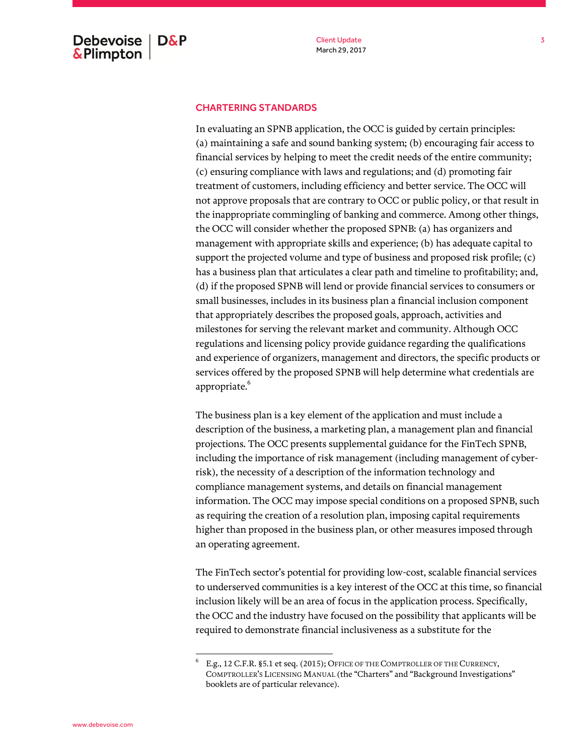## CHARTERING STANDARDS

In evaluating an SPNB application, the OCC is guided by certain principles: (a) maintaining a safe and sound banking system; (b) encouraging fair access to financial services by helping to meet the credit needs of the entire community; (c) ensuring compliance with laws and regulations; and (d) promoting fair treatment of customers, including efficiency and better service. The OCC will not approve proposals that are contrary to OCC or public policy, or that result in the inappropriate commingling of banking and commerce. Among other things, the OCC will consider whether the proposed SPNB: (a) has organizers and management with appropriate skills and experience; (b) has adequate capital to support the projected volume and type of business and proposed risk profile; (c) has a business plan that articulates a clear path and timeline to profitability; and, (d) if the proposed SPNB will lend or provide financial services to consumers or small businesses, includes in its business plan a financial inclusion component that appropriately describes the proposed goals, approach, activities and milestones for serving the relevant market and community. Although OCC regulations and licensing policy provide guidance regarding the qualifications and experience of organizers, management and directors, the specific products or services offered by the proposed SPNB will help determine what credentials are appropriate.<sup>6</sup>

The business plan is a key element of the application and must include a description of the business, a marketing plan, a management plan and financial projections. The OCC presents supplemental guidance for the FinTech SPNB, including the importance of risk management (including management of cyberrisk), the necessity of a description of the information technology and compliance management systems, and details on financial management information. The OCC may impose special conditions on a proposed SPNB, such as requiring the creation of a resolution plan, imposing capital requirements higher than proposed in the business plan, or other measures imposed through an operating agreement.

The FinTech sector's potential for providing low-cost, scalable financial services to underserved communities is a key interest of the OCC at this time, so financial inclusion likely will be an area of focus in the application process. Specifically, the OCC and the industry have focused on the possibility that applicants will be required to demonstrate financial inclusiveness as a substitute for the

<sup>6</sup> E.g., 12 C.F.R. §5.1 et seq. (2015); OFFICE OF THE COMPTROLLER OF THE CURRENCY, COMPTROLLER'S LICENSING MANUAL (the "Charters" and "Background Investigations" booklets are of particular relevance).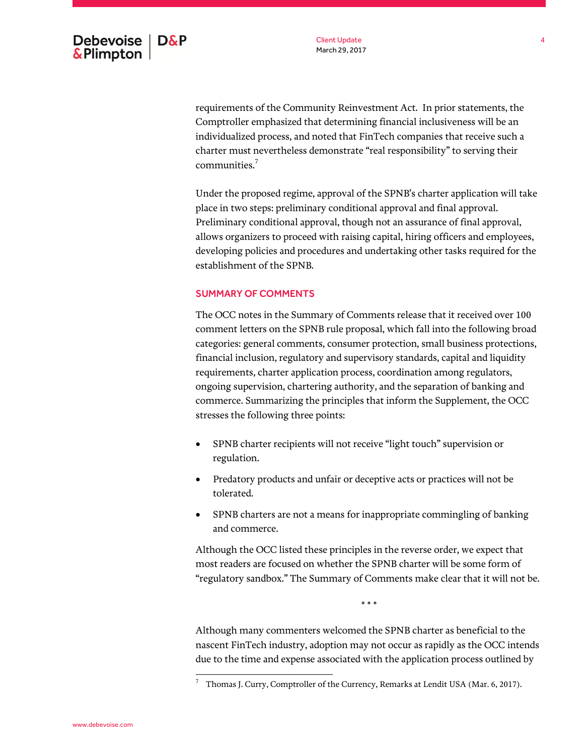requirements of the Community Reinvestment Act. In prior statements, the Comptroller emphasized that determining financial inclusiveness will be an individualized process, and noted that FinTech companies that receive such a charter must nevertheless demonstrate "real responsibility" to serving their communities.<sup>7</sup>

Under the proposed regime, approval of the SPNB's charter application will take place in two steps: preliminary conditional approval and final approval. Preliminary conditional approval, though not an assurance of final approval, allows organizers to proceed with raising capital, hiring officers and employees, developing policies and procedures and undertaking other tasks required for the establishment of the SPNB.

## SUMMARY OF COMMENTS

The OCC notes in the Summary of Comments release that it received over 100 comment letters on the SPNB rule proposal, which fall into the following broad categories: general comments, consumer protection, small business protections, financial inclusion, regulatory and supervisory standards, capital and liquidity requirements, charter application process, coordination among regulators, ongoing supervision, chartering authority, and the separation of banking and commerce. Summarizing the principles that inform the Supplement, the OCC stresses the following three points:

- SPNB charter recipients will not receive "light touch" supervision or regulation.
- Predatory products and unfair or deceptive acts or practices will not be tolerated.
- SPNB charters are not a means for inappropriate commingling of banking and commerce.

Although the OCC listed these principles in the reverse order, we expect that most readers are focused on whether the SPNB charter will be some form of "regulatory sandbox." The Summary of Comments make clear that it will not be.

\* \* \*

Although many commenters welcomed the SPNB charter as beneficial to the nascent FinTech industry, adoption may not occur as rapidly as the OCC intends due to the time and expense associated with the application process outlined by

Thomas J. Curry, Comptroller of the Currency, Remarks at Lendit USA (Mar. 6, 2017).